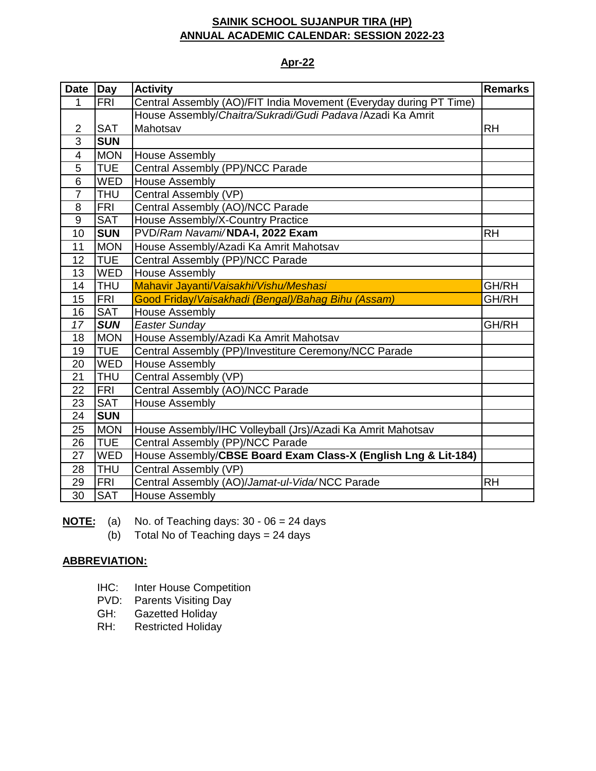### **Apr-22**

| <b>Date</b>              | Day        | <b>Activity</b>                                                    | <b>Remarks</b> |
|--------------------------|------------|--------------------------------------------------------------------|----------------|
| 1                        | <b>FRI</b> | Central Assembly (AO)/FIT India Movement (Everyday during PT Time) |                |
|                          |            | House Assembly/Chaitra/Sukradi/Gudi Padava/Azadi Ka Amrit          |                |
| 2                        | <b>SAT</b> | Mahotsav                                                           | <b>RH</b>      |
| 3                        | <b>SUN</b> |                                                                    |                |
| $\overline{\mathcal{A}}$ | <b>MON</b> | <b>House Assembly</b>                                              |                |
| 5                        | <b>TUE</b> | Central Assembly (PP)/NCC Parade                                   |                |
| $6\phantom{1}$           | <b>WED</b> | <b>House Assembly</b>                                              |                |
| $\overline{7}$           | <b>THU</b> | Central Assembly (VP)                                              |                |
| 8                        | <b>FRI</b> | Central Assembly (AO)/NCC Parade                                   |                |
| 9                        | <b>SAT</b> | House Assembly/X-Country Practice                                  |                |
| 10                       | <b>SUN</b> | PVD/Ram Navami/NDA-I, 2022 Exam                                    | <b>RH</b>      |
| 11                       | <b>MON</b> | House Assembly/Azadi Ka Amrit Mahotsav                             |                |
| 12                       | <b>TUE</b> | Central Assembly (PP)/NCC Parade                                   |                |
| 13                       | <b>WED</b> | <b>House Assembly</b>                                              |                |
| 14                       | <b>THU</b> | Mahavir Jayanti/Vaisakhi/Vishu/Meshasi                             | GH/RH          |
| 15                       | <b>FRI</b> | Good Friday/Vaisakhadi (Bengal)/Bahag Bihu (Assam)                 | GH/RH          |
| 16                       | <b>SAT</b> | <b>House Assembly</b>                                              |                |
| 17                       | <b>SUN</b> | <b>Easter Sunday</b>                                               | GH/RH          |
| 18                       | <b>MON</b> | House Assembly/Azadi Ka Amrit Mahotsav                             |                |
| 19                       | <b>TUE</b> | Central Assembly (PP)/Investiture Ceremony/NCC Parade              |                |
| 20                       | <b>WED</b> | <b>House Assembly</b>                                              |                |
| 21                       | <b>THU</b> | Central Assembly (VP)                                              |                |
| 22                       | <b>FRI</b> | Central Assembly (AO)/NCC Parade                                   |                |
| 23                       | <b>SAT</b> | <b>House Assembly</b>                                              |                |
| 24                       | <b>SUN</b> |                                                                    |                |
| 25                       | <b>MON</b> | House Assembly/IHC Volleyball (Jrs)/Azadi Ka Amrit Mahotsav        |                |
| 26                       | <b>TUE</b> | Central Assembly (PP)/NCC Parade                                   |                |
| 27                       | <b>WED</b> | House Assembly/CBSE Board Exam Class-X (English Lng & Lit-184)     |                |
| 28                       | <b>THU</b> | Central Assembly (VP)                                              |                |
| 29                       | <b>FRI</b> | Central Assembly (AO)/Jamat-ul-Vida/NCC Parade                     | <b>RH</b>      |
| 30                       | <b>SAT</b> | <b>House Assembly</b>                                              |                |

**NOTE:** (a) No. of Teaching days: 30 - 06 = 24 days

(b) Total No of Teaching days = 24 days

- IHC: Inter House Competition
- PVD: Parents Visiting Day
- GH: Gazetted Holiday
- RH: Restricted Holiday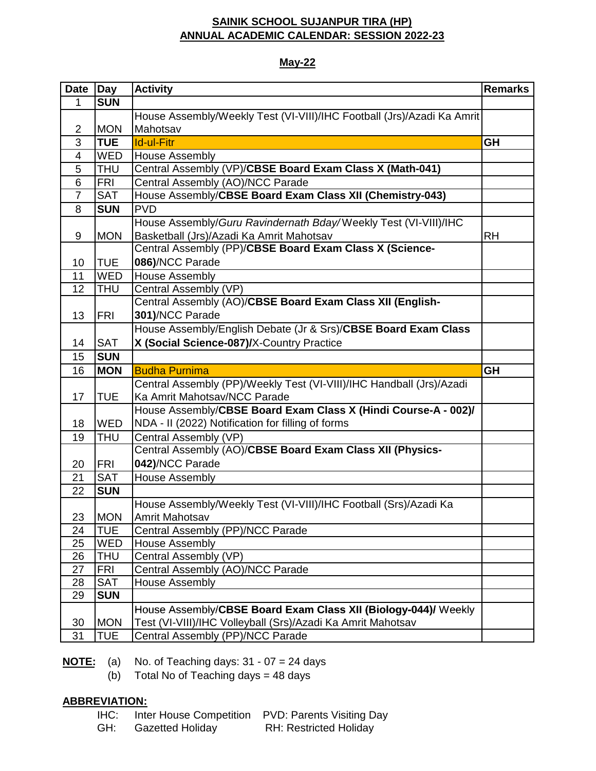### **May-22**

| Date           | <b>Day</b> | <b>Activity</b>                                                        | <b>Remarks</b> |
|----------------|------------|------------------------------------------------------------------------|----------------|
| 1              | <b>SUN</b> |                                                                        |                |
|                |            | House Assembly/Weekly Test (VI-VIII)/IHC Football (Jrs)/Azadi Ka Amrit |                |
| $\overline{2}$ | <b>MON</b> | Mahotsav                                                               |                |
| 3              | <b>TUE</b> | <b>Id-ul-Fitr</b>                                                      | <b>GH</b>      |
| $\overline{4}$ | <b>WED</b> | <b>House Assembly</b>                                                  |                |
| 5              | <b>THU</b> | Central Assembly (VP)/CBSE Board Exam Class X (Math-041)               |                |
| 6              | <b>FRI</b> | Central Assembly (AO)/NCC Parade                                       |                |
| $\overline{7}$ | <b>SAT</b> | House Assembly/CBSE Board Exam Class XII (Chemistry-043)               |                |
| 8              | <b>SUN</b> | <b>PVD</b>                                                             |                |
|                |            | House Assembly/Guru Ravindernath Bday/Weekly Test (VI-VIII)/IHC        |                |
| 9              | <b>MON</b> | Basketball (Jrs)/Azadi Ka Amrit Mahotsav                               | <b>RH</b>      |
|                |            | Central Assembly (PP)/CBSE Board Exam Class X (Science-                |                |
| 10             | <b>TUE</b> | 086)/NCC Parade                                                        |                |
| 11             | <b>WED</b> | <b>House Assembly</b>                                                  |                |
| 12             | <b>THU</b> | Central Assembly (VP)                                                  |                |
|                |            | Central Assembly (AO)/CBSE Board Exam Class XII (English-              |                |
| 13             | <b>FRI</b> | 301)/NCC Parade                                                        |                |
|                |            | House Assembly/English Debate (Jr & Srs)/CBSE Board Exam Class         |                |
| 14             | <b>SAT</b> | X (Social Science-087)/X-Country Practice                              |                |
| 15             | <b>SUN</b> |                                                                        |                |
| 16             | <b>MON</b> | <b>Budha Purnima</b>                                                   | <b>GH</b>      |
|                |            | Central Assembly (PP)/Weekly Test (VI-VIII)/IHC Handball (Jrs)/Azadi   |                |
| 17             | TUE        | Ka Amrit Mahotsav/NCC Parade                                           |                |
|                |            | House Assembly/CBSE Board Exam Class X (Hindi Course-A - 002)/         |                |
| 18             | <b>WED</b> | NDA - II (2022) Notification for filling of forms                      |                |
| 19             | THU        | Central Assembly (VP)                                                  |                |
|                |            | Central Assembly (AO)/CBSE Board Exam Class XII (Physics-              |                |
| 20             | <b>FRI</b> | 042)/NCC Parade                                                        |                |
| 21             | <b>SAT</b> | <b>House Assembly</b>                                                  |                |
| 22             | <b>SUN</b> |                                                                        |                |
|                |            | House Assembly/Weekly Test (VI-VIII)/IHC Football (Srs)/Azadi Ka       |                |
| 23             | <b>MON</b> | Amrit Mahotsav                                                         |                |
| 24             | TUE        | Central Assembly (PP)/NCC Parade                                       |                |
| 25             | <b>WED</b> | <b>House Assembly</b>                                                  |                |
| 26             | THU        | Central Assembly (VP)                                                  |                |
| 27             | <b>FRI</b> | Central Assembly (AO)/NCC Parade                                       |                |
| 28             | <b>SAT</b> | <b>House Assembly</b>                                                  |                |
| 29             | <b>SUN</b> |                                                                        |                |
|                |            | House Assembly/CBSE Board Exam Class XII (Biology-044)/ Weekly         |                |
| 30             | <b>MON</b> | Test (VI-VIII)/IHC Volleyball (Srs)/Azadi Ka Amrit Mahotsav            |                |
| 31             | <b>TUE</b> | Central Assembly (PP)/NCC Parade                                       |                |

**NOTE:** (a) No. of Teaching days: 31 - 07 = 24 days

(b) Total No of Teaching days =  $48$  days

## **ABBREVIATION:**

|           | IHC: Inter House Competition PVD: Parents Visiting Day |
|-----------|--------------------------------------------------------|
| $\bigcap$ | DIL Destate d'Italia.                                  |

GH: Gazetted Holiday RH: Restricted Holiday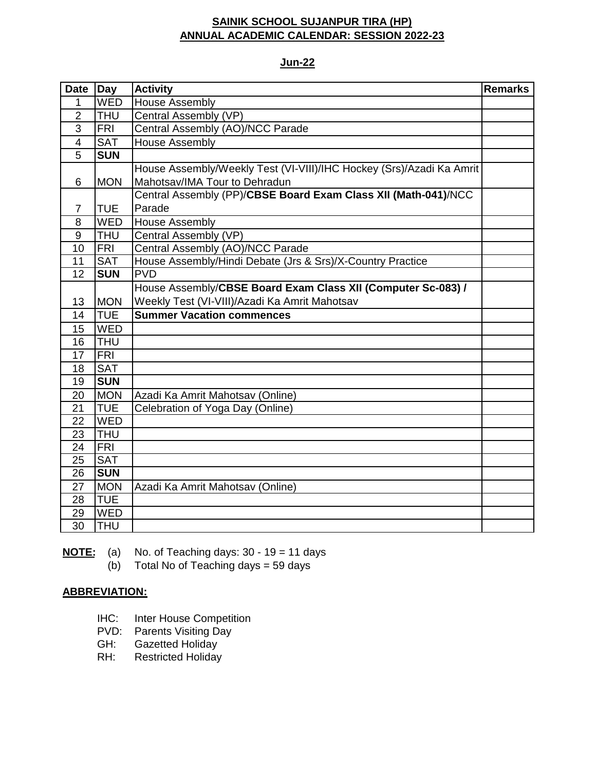### **Jun-22**

| <b>Date</b>    | Day        | <b>Activity</b>                                                      | <b>Remarks</b> |
|----------------|------------|----------------------------------------------------------------------|----------------|
| 1              | <b>WED</b> | <b>House Assembly</b>                                                |                |
| $\overline{2}$ | <b>THU</b> | Central Assembly (VP)                                                |                |
| 3              | <b>FRI</b> | Central Assembly (AO)/NCC Parade                                     |                |
| $\overline{4}$ | <b>SAT</b> | <b>House Assembly</b>                                                |                |
| $\overline{5}$ | <b>SUN</b> |                                                                      |                |
|                |            | House Assembly/Weekly Test (VI-VIII)/IHC Hockey (Srs)/Azadi Ka Amrit |                |
| 6              | <b>MON</b> | Mahotsav/IMA Tour to Dehradun                                        |                |
|                |            | Central Assembly (PP)/CBSE Board Exam Class XII (Math-041)/NCC       |                |
| 7              | <b>TUE</b> | Parade                                                               |                |
| 8              | <b>WED</b> | <b>House Assembly</b>                                                |                |
| 9              | <b>THU</b> | Central Assembly (VP)                                                |                |
| 10             | <b>FRI</b> | Central Assembly (AO)/NCC Parade                                     |                |
| 11             | <b>SAT</b> | House Assembly/Hindi Debate (Jrs & Srs)/X-Country Practice           |                |
| 12             | <b>SUN</b> | <b>PVD</b>                                                           |                |
|                |            | House Assembly/CBSE Board Exam Class XII (Computer Sc-083) /         |                |
| 13             | <b>MON</b> | Weekly Test (VI-VIII)/Azadi Ka Amrit Mahotsav                        |                |
| 14             | <b>TUE</b> | <b>Summer Vacation commences</b>                                     |                |
| 15             | <b>WED</b> |                                                                      |                |
| 16             | <b>THU</b> |                                                                      |                |
| 17             | <b>FRI</b> |                                                                      |                |
| 18             | <b>SAT</b> |                                                                      |                |
| 19             | <b>SUN</b> |                                                                      |                |
| 20             | <b>MON</b> | Azadi Ka Amrit Mahotsav (Online)                                     |                |
| 21             | <b>TUE</b> | Celebration of Yoga Day (Online)                                     |                |
| 22             | <b>WED</b> |                                                                      |                |
| 23             | <b>THU</b> |                                                                      |                |
| 24             | <b>FRI</b> |                                                                      |                |
| 25             | <b>SAT</b> |                                                                      |                |
| 26             | <b>SUN</b> |                                                                      |                |
| 27             | <b>MON</b> | Azadi Ka Amrit Mahotsav (Online)                                     |                |
| 28             | <b>TUE</b> |                                                                      |                |
| 29             | <b>WED</b> |                                                                      |                |
| 30             | <b>THU</b> |                                                                      |                |

**NOTE:** (a) No. of Teaching days: 30 - 19 = 11 days

(b) Total No of Teaching days = 59 days

- IHC: Inter House Competition
- PVD: Parents Visiting Day
- GH: Gazetted Holiday
- RH: Restricted Holiday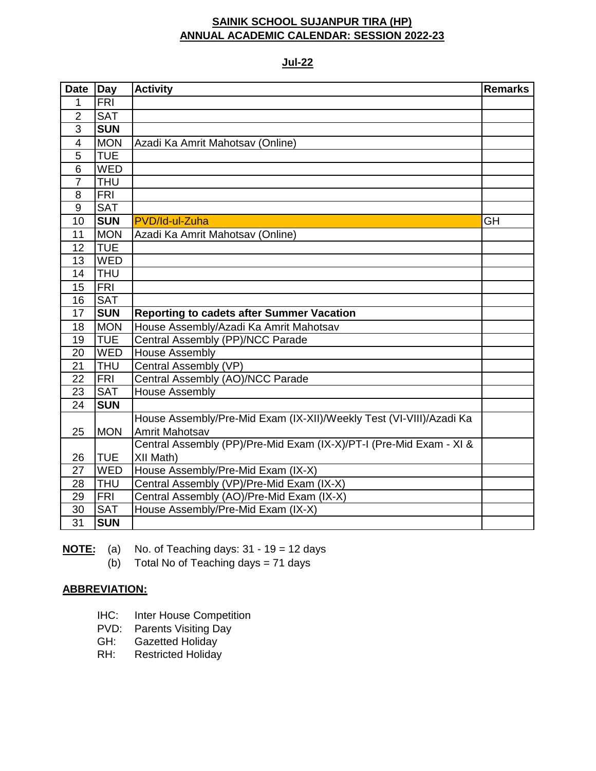#### **Jul-22**

| <b>Date</b>             | Day        | <b>Activity</b>                                                     | <b>Remarks</b> |
|-------------------------|------------|---------------------------------------------------------------------|----------------|
| 1                       | <b>FRI</b> |                                                                     |                |
| $\overline{2}$          | <b>SAT</b> |                                                                     |                |
| 3                       | <b>SUN</b> |                                                                     |                |
| $\overline{\mathbf{4}}$ | <b>MON</b> | Azadi Ka Amrit Mahotsav (Online)                                    |                |
| 5                       | <b>TUE</b> |                                                                     |                |
| 6                       | <b>WED</b> |                                                                     |                |
| $\overline{7}$          | <b>THU</b> |                                                                     |                |
| 8                       | <b>FRI</b> |                                                                     |                |
| 9                       | <b>SAT</b> |                                                                     |                |
| 10                      | <b>SUN</b> | PVD/Id-ul-Zuha                                                      | GH             |
| 11                      | <b>MON</b> | Azadi Ka Amrit Mahotsav (Online)                                    |                |
| 12                      | <b>TUE</b> |                                                                     |                |
| 13                      | <b>WED</b> |                                                                     |                |
| 14                      | <b>THU</b> |                                                                     |                |
| 15                      | <b>FRI</b> |                                                                     |                |
| 16                      | <b>SAT</b> |                                                                     |                |
| 17                      | <b>SUN</b> | <b>Reporting to cadets after Summer Vacation</b>                    |                |
| 18                      | <b>MON</b> | House Assembly/Azadi Ka Amrit Mahotsav                              |                |
| 19                      | <b>TUE</b> | Central Assembly (PP)/NCC Parade                                    |                |
| 20                      | <b>WED</b> | <b>House Assembly</b>                                               |                |
| 21                      | <b>THU</b> | Central Assembly (VP)                                               |                |
| 22                      | <b>FRI</b> | Central Assembly (AO)/NCC Parade                                    |                |
| 23                      | <b>SAT</b> | <b>House Assembly</b>                                               |                |
| 24                      | <b>SUN</b> |                                                                     |                |
|                         |            | House Assembly/Pre-Mid Exam (IX-XII)/Weekly Test (VI-VIII)/Azadi Ka |                |
| 25                      | <b>MON</b> | Amrit Mahotsav                                                      |                |
|                         |            | Central Assembly (PP)/Pre-Mid Exam (IX-X)/PT-I (Pre-Mid Exam - XI & |                |
| 26                      | <b>TUE</b> | XII Math)                                                           |                |
| 27                      | <b>WED</b> | House Assembly/Pre-Mid Exam (IX-X)                                  |                |
| 28                      | <b>THU</b> | Central Assembly (VP)/Pre-Mid Exam (IX-X)                           |                |
| 29                      | <b>FRI</b> | Central Assembly (AO)/Pre-Mid Exam (IX-X)                           |                |
| 30                      | <b>SAT</b> | House Assembly/Pre-Mid Exam (IX-X)                                  |                |
| 31                      | <b>SUN</b> |                                                                     |                |

**NOTE:** (a) No. of Teaching days: 31 - 19 = 12 days

(b) Total No of Teaching days = 71 days

- IHC: Inter House Competition
- PVD: Parents Visiting Day
- GH: Gazetted Holiday<br>RH: Restricted Holiday
- Restricted Holiday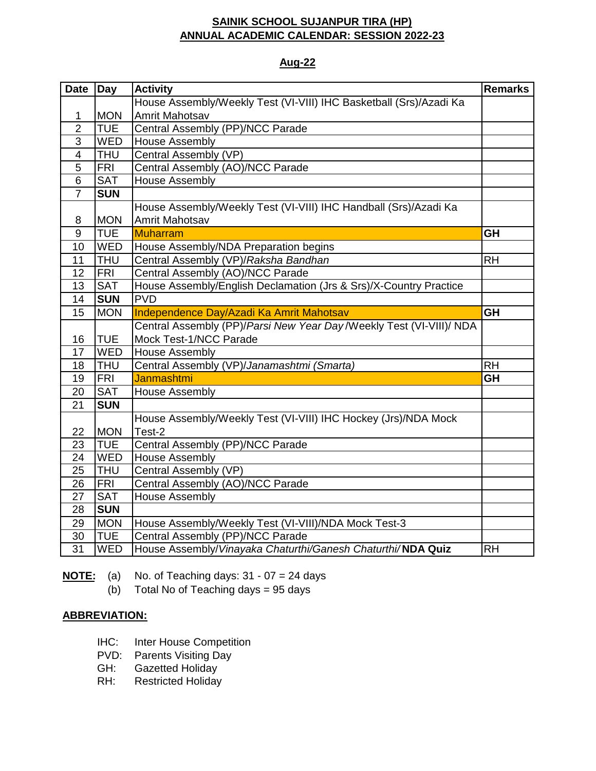### **Aug-22**

| <b>Date</b>    | Day        | <b>Activity</b>                                                     | <b>Remarks</b> |
|----------------|------------|---------------------------------------------------------------------|----------------|
|                |            | House Assembly/Weekly Test (VI-VIII) IHC Basketball (Srs)/Azadi Ka  |                |
| 1              | <b>MON</b> | Amrit Mahotsav                                                      |                |
| $\overline{2}$ | <b>TUE</b> | Central Assembly (PP)/NCC Parade                                    |                |
| 3              | <b>WED</b> | <b>House Assembly</b>                                               |                |
| 4              | <b>THU</b> | Central Assembly (VP)                                               |                |
| 5              | FRI        | Central Assembly (AO)/NCC Parade                                    |                |
| 6              | <b>SAT</b> | <b>House Assembly</b>                                               |                |
| $\overline{7}$ | <b>SUN</b> |                                                                     |                |
|                |            | House Assembly/Weekly Test (VI-VIII) IHC Handball (Srs)/Azadi Ka    |                |
| 8              | <b>MON</b> | <b>Amrit Mahotsav</b>                                               |                |
| 9              | <b>TUE</b> | Muharram                                                            | <b>GH</b>      |
| 10             | <b>WED</b> | House Assembly/NDA Preparation begins                               |                |
| 11             | <b>THU</b> | Central Assembly (VP)/Raksha Bandhan                                | <b>RH</b>      |
| 12             | <b>FRI</b> | Central Assembly (AO)/NCC Parade                                    |                |
| 13             | <b>SAT</b> | House Assembly/English Declamation (Jrs & Srs)/X-Country Practice   |                |
| 14             | <b>SUN</b> | <b>PVD</b>                                                          |                |
| 15             | <b>MON</b> | Independence Day/Azadi Ka Amrit Mahotsav                            | <b>GH</b>      |
|                |            | Central Assembly (PP)/Parsi New Year Day/Weekly Test (VI-VIII)/ NDA |                |
| 16             | <b>TUE</b> | Mock Test-1/NCC Parade                                              |                |
| 17             | <b>WED</b> | <b>House Assembly</b>                                               |                |
| 18             | <b>THU</b> | Central Assembly (VP)/Janamashtmi (Smarta)                          | <b>RH</b>      |
| 19             | FRI        | Janmashtmi                                                          | <b>GH</b>      |
| 20             | <b>SAT</b> | <b>House Assembly</b>                                               |                |
| 21             | <b>SUN</b> |                                                                     |                |
|                |            | House Assembly/Weekly Test (VI-VIII) IHC Hockey (Jrs)/NDA Mock      |                |
| 22             | <b>MON</b> | Test-2                                                              |                |
| 23             | <b>TUE</b> | Central Assembly (PP)/NCC Parade                                    |                |
| 24             | <b>WED</b> | <b>House Assembly</b>                                               |                |
| 25             | <b>THU</b> | Central Assembly (VP)                                               |                |
| 26             | <b>FRI</b> | Central Assembly (AO)/NCC Parade                                    |                |
| 27             | <b>SAT</b> | <b>House Assembly</b>                                               |                |
| 28             | <b>SUN</b> |                                                                     |                |
| 29             | <b>MON</b> | House Assembly/Weekly Test (VI-VIII)/NDA Mock Test-3                |                |
| 30             | <b>TUE</b> | Central Assembly (PP)/NCC Parade                                    |                |
| 31             | <b>WED</b> | House Assembly/Vinayaka Chaturthi/Ganesh Chaturthi/NDA Quiz         | <b>RH</b>      |

**NOTE:** (a) No. of Teaching days: 31 - 07 = 24 days

(b) Total No of Teaching days = 95 days

- IHC: Inter House Competition
- PVD: Parents Visiting Day
- **GH:** Gazetted Holiday<br>RH: Restricted Holiday
- Restricted Holiday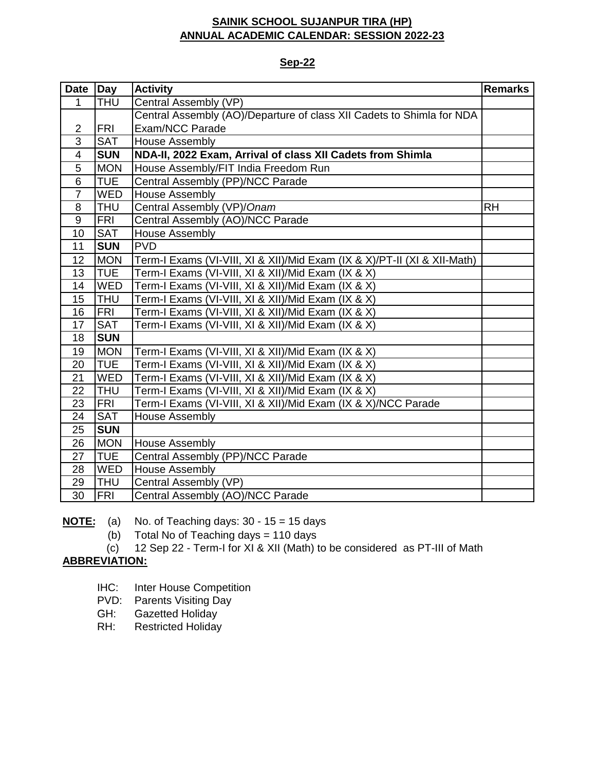### **Sep-22**

| <b>Date</b>    | Day        | <b>Activity</b>                                                          | <b>Remarks</b> |
|----------------|------------|--------------------------------------------------------------------------|----------------|
| 1              | <b>THU</b> | Central Assembly (VP)                                                    |                |
|                |            | Central Assembly (AO)/Departure of class XII Cadets to Shimla for NDA    |                |
| $\overline{c}$ | <b>FRI</b> | Exam/NCC Parade                                                          |                |
| $\overline{3}$ | <b>SAT</b> | <b>House Assembly</b>                                                    |                |
| $\overline{4}$ | <b>SUN</b> | NDA-II, 2022 Exam, Arrival of class XII Cadets from Shimla               |                |
| 5              | <b>MON</b> | House Assembly/FIT India Freedom Run                                     |                |
| 6              | <b>TUE</b> | Central Assembly (PP)/NCC Parade                                         |                |
| $\overline{7}$ | <b>WED</b> | <b>House Assembly</b>                                                    |                |
| 8              | <b>THU</b> | Central Assembly (VP)/Onam                                               | <b>RH</b>      |
| 9              | <b>FRI</b> | Central Assembly (AO)/NCC Parade                                         |                |
| 10             | <b>SAT</b> | <b>House Assembly</b>                                                    |                |
| 11             | <b>SUN</b> | <b>PVD</b>                                                               |                |
| 12             | <b>MON</b> | Term-I Exams (VI-VIII, XI & XII)/Mid Exam (IX & X)/PT-II (XI & XII-Math) |                |
| 13             | <b>TUE</b> | Term-I Exams (VI-VIII, XI & XII)/Mid Exam (IX & X)                       |                |
| 14             | <b>WED</b> | Term-I Exams (VI-VIII, XI & XII)/Mid Exam (IX & X)                       |                |
| 15             | <b>THU</b> | Term-I Exams (VI-VIII, XI & XII)/Mid Exam (IX & X)                       |                |
| 16             | <b>FRI</b> | Term-I Exams (VI-VIII, XI & XII)/Mid Exam (IX & X)                       |                |
| 17             | <b>SAT</b> | Term-I Exams (VI-VIII, XI & XII)/Mid Exam (IX & X)                       |                |
| 18             | <b>SUN</b> |                                                                          |                |
| 19             | <b>MON</b> | Term-I Exams (VI-VIII, XI & XII)/Mid Exam (IX & X)                       |                |
| 20             | <b>TUE</b> | Term-I Exams (VI-VIII, XI & XII)/Mid Exam (IX & X)                       |                |
| 21             | <b>WED</b> | Term-I Exams (VI-VIII, XI & XII)/Mid Exam (IX & X)                       |                |
| 22             | <b>THU</b> | Term-I Exams (VI-VIII, XI & XII)/Mid Exam (IX & X)                       |                |
| 23             | <b>FRI</b> | Term-I Exams (VI-VIII, XI & XII)/Mid Exam (IX & X)/NCC Parade            |                |
| 24             | <b>SAT</b> | <b>House Assembly</b>                                                    |                |
| 25             | <b>SUN</b> |                                                                          |                |
| 26             | <b>MON</b> | <b>House Assembly</b>                                                    |                |
| 27             | <b>TUE</b> | Central Assembly (PP)/NCC Parade                                         |                |
| 28             | <b>WED</b> | <b>House Assembly</b>                                                    |                |
| 29             | <b>THU</b> | Central Assembly (VP)                                                    |                |
| 30             | <b>FRI</b> | Central Assembly (AO)/NCC Parade                                         |                |

**NOTE:** (a) No. of Teaching days: 30 - 15 = 15 days

(b) Total No of Teaching days = 110 days

(c) 12 Sep 22 - Term-I for XI & XII (Math) to be considered as PT-III of Math

- IHC: Inter House Competition
- PVD: Parents Visiting Day
- GH: Gazetted Holiday
- RH: Restricted Holiday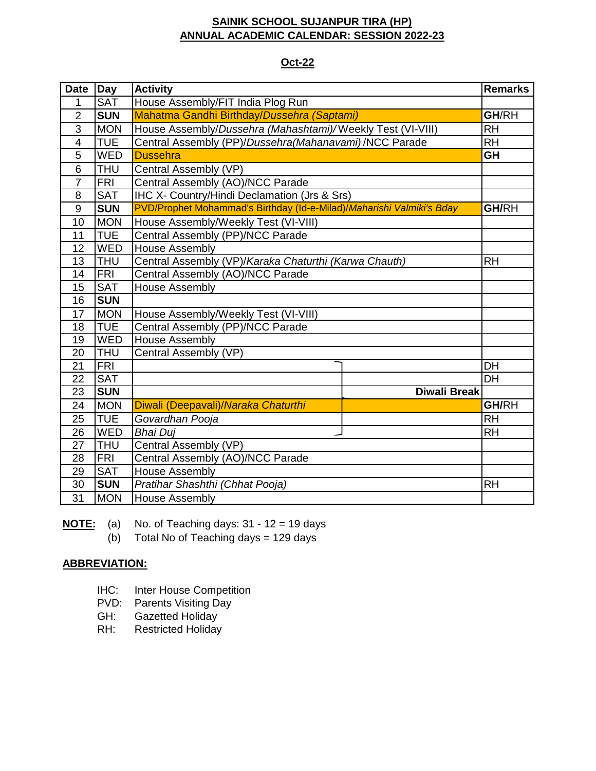### **Oct-22**

| <b>Date</b>    | <b>Day</b> | <b>Activity</b>                                                       |                     | <b>Remarks</b> |
|----------------|------------|-----------------------------------------------------------------------|---------------------|----------------|
| 1              | <b>SAT</b> | House Assembly/FIT India Plog Run                                     |                     |                |
| $\overline{2}$ | <b>SUN</b> | Mahatma Gandhi Birthday/Dussehra (Saptami)                            |                     | GH/RH          |
| 3              | <b>MON</b> | House Assembly/Dussehra (Mahashtami)/Weekly Test (VI-VIII)            |                     | <b>RH</b>      |
| $\overline{4}$ | <b>TUE</b> | Central Assembly (PP)/Dussehra(Mahanavami) /NCC Parade                |                     | <b>RH</b>      |
| 5              | <b>WED</b> | <b>Dussehra</b>                                                       |                     | <b>GH</b>      |
| 6              | <b>THU</b> | Central Assembly (VP)                                                 |                     |                |
| $\overline{7}$ | <b>FRI</b> | Central Assembly (AO)/NCC Parade                                      |                     |                |
| 8              | <b>SAT</b> | <b>IHC X- Country/Hindi Declamation (Jrs &amp; Srs)</b>               |                     |                |
| 9              | <b>SUN</b> | PVD/Prophet Mohammad's Birthday (Id-e-Milad)/Maharishi Valmiki's Bday |                     | <b>GH/RH</b>   |
| 10             | <b>MON</b> | House Assembly/Weekly Test (VI-VIII)                                  |                     |                |
| 11             | <b>TUE</b> | Central Assembly (PP)/NCC Parade                                      |                     |                |
| 12             | <b>WED</b> | <b>House Assembly</b>                                                 |                     |                |
| 13             | <b>THU</b> | Central Assembly (VP)/Karaka Chaturthi (Karwa Chauth)                 |                     | <b>RH</b>      |
| 14             | <b>FRI</b> | Central Assembly (AO)/NCC Parade                                      |                     |                |
| 15             | <b>SAT</b> | <b>House Assembly</b>                                                 |                     |                |
| 16             | <b>SUN</b> |                                                                       |                     |                |
| 17             | <b>MON</b> | House Assembly/Weekly Test (VI-VIII)                                  |                     |                |
| 18             | <b>TUE</b> | Central Assembly (PP)/NCC Parade                                      |                     |                |
| 19             | <b>WED</b> | <b>House Assembly</b>                                                 |                     |                |
| 20             | <b>THU</b> | Central Assembly (VP)                                                 |                     |                |
| 21             | <b>FRI</b> |                                                                       |                     | <b>DH</b>      |
| 22             | <b>SAT</b> |                                                                       |                     | <b>DH</b>      |
| 23             | <b>SUN</b> |                                                                       | <b>Diwali Break</b> |                |
| 24             | <b>MON</b> | Diwali (Deepavali)/Naraka Chaturthi                                   |                     | <b>GH/RH</b>   |
| 25             | <b>TUE</b> | Govardhan Pooja                                                       |                     | <b>RH</b>      |
| 26             | <b>WED</b> | <b>Bhai Dui</b>                                                       |                     | <b>RH</b>      |
| 27             | <b>THU</b> | Central Assembly (VP)                                                 |                     |                |
| 28             | <b>FRI</b> | Central Assembly (AO)/NCC Parade                                      |                     |                |
| 29             | <b>SAT</b> | <b>House Assembly</b>                                                 |                     |                |
| 30             | <b>SUN</b> | Pratihar Shashthi (Chhat Pooja)                                       |                     | <b>RH</b>      |
| 31             | <b>MON</b> | <b>House Assembly</b>                                                 |                     |                |

**NOTE:** (a) No. of Teaching days: 31 - 12 = 19 days

 $(b)$  Total No of Teaching days = 129 days

- IHC: Inter House Competition
- PVD: Parents Visiting Day
- GH: Gazetted Holiday
- RH: Restricted Holiday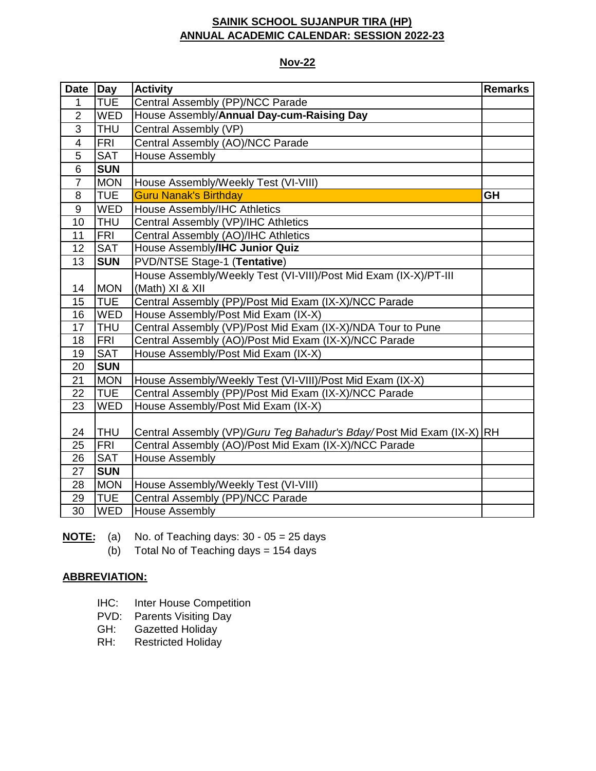#### **Nov-22**

| <b>Date</b>             | <b>Day</b> | <b>Activity</b>                                                       | <b>Remarks</b> |
|-------------------------|------------|-----------------------------------------------------------------------|----------------|
| 1                       | <b>TUE</b> | Central Assembly (PP)/NCC Parade                                      |                |
| $\overline{2}$          | WED        | House Assembly/Annual Day-cum-Raising Day                             |                |
| $\overline{3}$          | <b>THU</b> | Central Assembly (VP)                                                 |                |
| $\overline{\mathbf{4}}$ | <b>FRI</b> | Central Assembly (AO)/NCC Parade                                      |                |
| 5                       | <b>SAT</b> | <b>House Assembly</b>                                                 |                |
| 6                       | <b>SUN</b> |                                                                       |                |
| $\overline{7}$          | <b>MON</b> | House Assembly/Weekly Test (VI-VIII)                                  |                |
| 8                       | <b>TUE</b> | <b>Guru Nanak's Birthday</b>                                          | <b>GH</b>      |
| 9                       | <b>WED</b> | House Assembly/IHC Athletics                                          |                |
| 10                      | <b>THU</b> | Central Assembly (VP)/IHC Athletics                                   |                |
| 11                      | <b>FRI</b> | Central Assembly (AO)/IHC Athletics                                   |                |
| 12                      | <b>SAT</b> | House Assembly/IHC Junior Quiz                                        |                |
| 13                      | <b>SUN</b> | <b>PVD/NTSE Stage-1 (Tentative)</b>                                   |                |
|                         |            | House Assembly/Weekly Test (VI-VIII)/Post Mid Exam (IX-X)/PT-III      |                |
| 14                      | <b>MON</b> | (Math) XI & XII                                                       |                |
| 15                      | <b>TUE</b> | Central Assembly (PP)/Post Mid Exam (IX-X)/NCC Parade                 |                |
| 16                      | <b>WED</b> | House Assembly/Post Mid Exam (IX-X)                                   |                |
| 17                      | <b>THU</b> | Central Assembly (VP)/Post Mid Exam (IX-X)/NDA Tour to Pune           |                |
| 18                      | <b>FRI</b> | Central Assembly (AO)/Post Mid Exam (IX-X)/NCC Parade                 |                |
| 19                      | <b>SAT</b> | House Assembly/Post Mid Exam (IX-X)                                   |                |
| 20                      | <b>SUN</b> |                                                                       |                |
| 21                      | <b>MON</b> | House Assembly/Weekly Test (VI-VIII)/Post Mid Exam (IX-X)             |                |
| 22                      | <b>TUE</b> | Central Assembly (PP)/Post Mid Exam (IX-X)/NCC Parade                 |                |
| 23                      | <b>WED</b> | House Assembly/Post Mid Exam (IX-X)                                   |                |
|                         |            |                                                                       |                |
| 24                      | <b>THU</b> | Central Assembly (VP)/Guru Teg Bahadur's Bday/Post Mid Exam (IX-X) RH |                |
| 25                      | <b>FRI</b> | Central Assembly (AO)/Post Mid Exam (IX-X)/NCC Parade                 |                |
| 26                      | <b>SAT</b> | <b>House Assembly</b>                                                 |                |
| 27                      | <b>SUN</b> |                                                                       |                |
| 28                      | <b>MON</b> | House Assembly/Weekly Test (VI-VIII)                                  |                |
| 29                      | <b>TUE</b> | Central Assembly (PP)/NCC Parade                                      |                |
| 30                      | <b>WED</b> | <b>House Assembly</b>                                                 |                |

**NOTE:** (a) No. of Teaching days: 30 - 05 = 25 days

(b) Total No of Teaching days = days

- IHC: Inter House Competition
- PVD: Parents Visiting Day
- GH: Gazetted Holiday
- RH: Restricted Holiday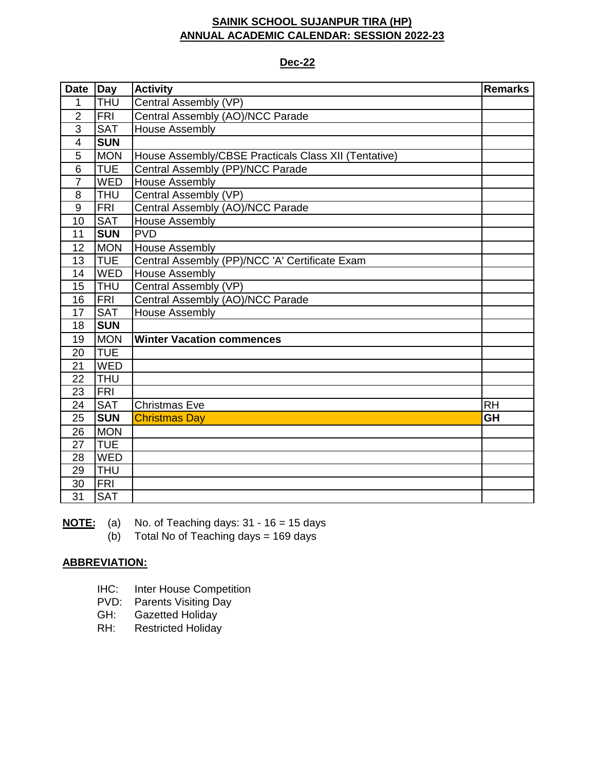#### **Dec-22**

| Date             | Day        | <b>Activity</b>                                      | <b>Remarks</b> |
|------------------|------------|------------------------------------------------------|----------------|
| 1                | <b>THU</b> | Central Assembly (VP)                                |                |
| $\overline{2}$   | <b>FRI</b> | Central Assembly (AO)/NCC Parade                     |                |
| 3                | <b>SAT</b> | <b>House Assembly</b>                                |                |
| $\overline{4}$   | <b>SUN</b> |                                                      |                |
| 5                | <b>MON</b> | House Assembly/CBSE Practicals Class XII (Tentative) |                |
| 6                | <b>TUE</b> | Central Assembly (PP)/NCC Parade                     |                |
| $\overline{7}$   | <b>WED</b> | <b>House Assembly</b>                                |                |
| 8                | <b>THU</b> | Central Assembly (VP)                                |                |
| $\boldsymbol{9}$ | <b>FRI</b> | Central Assembly (AO)/NCC Parade                     |                |
| 10               | <b>SAT</b> | <b>House Assembly</b>                                |                |
| 11               | <b>SUN</b> | <b>PVD</b>                                           |                |
| 12               | <b>MON</b> | <b>House Assembly</b>                                |                |
| 13               | <b>TUE</b> | Central Assembly (PP)/NCC 'A' Certificate Exam       |                |
| 14               | <b>WED</b> | <b>House Assembly</b>                                |                |
| 15               | <b>THU</b> | Central Assembly (VP)                                |                |
| 16               | <b>FRI</b> | Central Assembly (AO)/NCC Parade                     |                |
| 17               | <b>SAT</b> | <b>House Assembly</b>                                |                |
| 18               | <b>SUN</b> |                                                      |                |
| 19               | <b>MON</b> | <b>Winter Vacation commences</b>                     |                |
| 20               | <b>TUE</b> |                                                      |                |
| 21               | <b>WED</b> |                                                      |                |
| 22               | <b>THU</b> |                                                      |                |
| 23               | <b>FRI</b> |                                                      |                |
| 24               | <b>SAT</b> | <b>Christmas Eve</b>                                 | <b>RH</b>      |
| 25               | <b>SUN</b> | <b>Christmas Day</b>                                 | <b>GH</b>      |
| 26               | <b>MON</b> |                                                      |                |
| 27               | <b>TUE</b> |                                                      |                |
| 28               | <b>WED</b> |                                                      |                |
| 29               | <b>THU</b> |                                                      |                |
| 30               | <b>FRI</b> |                                                      |                |
| $\overline{31}$  | <b>SAT</b> |                                                      |                |

**NOTE:** (a) No. of Teaching days: 31 - 16 = 15 days

(b) Total No of Teaching days = 169 days

- IHC: Inter House Competition
- PVD: Parents Visiting Day
- GH: Gazetted Holiday
- RH: Restricted Holiday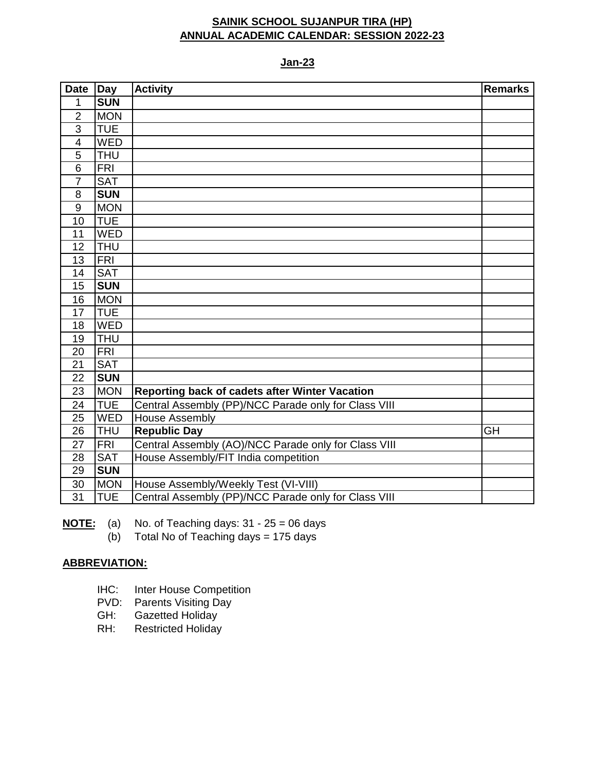**Jan-23**

| Date           | Day        | <b>Activity</b>                                      | <b>Remarks</b> |
|----------------|------------|------------------------------------------------------|----------------|
| 1              | <b>SUN</b> |                                                      |                |
| $\overline{2}$ | <b>MON</b> |                                                      |                |
| 3              | <b>TUE</b> |                                                      |                |
| $\overline{4}$ | <b>WED</b> |                                                      |                |
| $\overline{5}$ | <b>THU</b> |                                                      |                |
| $\overline{6}$ | <b>FRI</b> |                                                      |                |
| $\overline{7}$ | <b>SAT</b> |                                                      |                |
| 8              | <b>SUN</b> |                                                      |                |
| 9              | <b>MON</b> |                                                      |                |
| 10             | <b>TUE</b> |                                                      |                |
| 11             | <b>WED</b> |                                                      |                |
| 12             | <b>THU</b> |                                                      |                |
| 13             | <b>FRI</b> |                                                      |                |
| 14             | <b>SAT</b> |                                                      |                |
| 15             | <b>SUN</b> |                                                      |                |
| 16             | <b>MON</b> |                                                      |                |
| 17             | <b>TUE</b> |                                                      |                |
| 18             | WED        |                                                      |                |
| 19             | <b>THU</b> |                                                      |                |
| 20             | FRI        |                                                      |                |
| 21             | <b>SAT</b> |                                                      |                |
| 22             | <b>SUN</b> |                                                      |                |
| 23             | <b>MON</b> | Reporting back of cadets after Winter Vacation       |                |
| 24             | <b>TUE</b> | Central Assembly (PP)/NCC Parade only for Class VIII |                |
| 25             | <b>WED</b> | <b>House Assembly</b>                                |                |
| 26             | <b>THU</b> | <b>Republic Day</b>                                  | <b>GH</b>      |
| 27             | <b>FRI</b> | Central Assembly (AO)/NCC Parade only for Class VIII |                |
| 28             | <b>SAT</b> | House Assembly/FIT India competition                 |                |
| 29             | <b>SUN</b> |                                                      |                |
| 30             | <b>MON</b> | House Assembly/Weekly Test (VI-VIII)                 |                |
| 31             | <b>TUE</b> | Central Assembly (PP)/NCC Parade only for Class VIII |                |

**NOTE:** (a) No. of Teaching days: 31 - 25 = 06 days

(b) Total No of Teaching days = 175 days

- IHC: Inter House Competition
- PVD: Parents Visiting Day
- GH: Gazetted Holiday
- RH: Restricted Holiday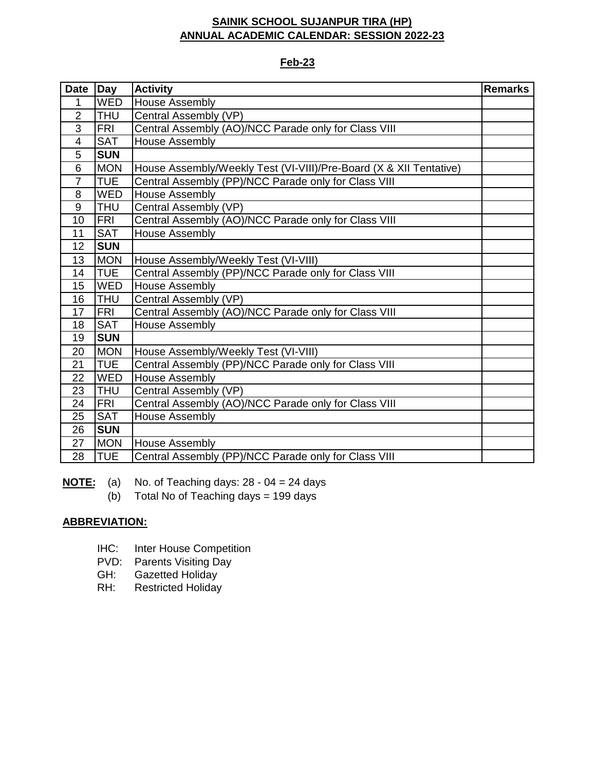#### **Feb-23**

| <b>Date</b>    | <b>Day</b> | <b>Activity</b>                                                    | <b>Remarks</b> |
|----------------|------------|--------------------------------------------------------------------|----------------|
| 1              | <b>WED</b> | <b>House Assembly</b>                                              |                |
| $\overline{2}$ | <b>THU</b> | Central Assembly (VP)                                              |                |
| $\overline{3}$ | <b>FRI</b> | Central Assembly (AO)/NCC Parade only for Class VIII               |                |
| $\overline{4}$ | <b>SAT</b> | <b>House Assembly</b>                                              |                |
| 5              | <b>SUN</b> |                                                                    |                |
| 6              | <b>MON</b> | House Assembly/Weekly Test (VI-VIII)/Pre-Board (X & XII Tentative) |                |
| $\overline{7}$ | <b>TUE</b> | Central Assembly (PP)/NCC Parade only for Class VIII               |                |
| 8              | <b>WED</b> | House Assembly                                                     |                |
| 9              | <b>THU</b> | Central Assembly (VP)                                              |                |
| 10             | <b>FRI</b> | Central Assembly (AO)/NCC Parade only for Class VIII               |                |
| 11             | <b>SAT</b> | <b>House Assembly</b>                                              |                |
| 12             | <b>SUN</b> |                                                                    |                |
| 13             | <b>MON</b> | House Assembly/Weekly Test (VI-VIII)                               |                |
| 14             | <b>TUE</b> | Central Assembly (PP)/NCC Parade only for Class VIII               |                |
| 15             | <b>WED</b> | House Assembly                                                     |                |
| 16             | <b>THU</b> | Central Assembly (VP)                                              |                |
| 17             | <b>FRI</b> | Central Assembly (AO)/NCC Parade only for Class VIII               |                |
| 18             | <b>SAT</b> | <b>House Assembly</b>                                              |                |
| 19             | <b>SUN</b> |                                                                    |                |
| 20             | <b>MON</b> | House Assembly/Weekly Test (VI-VIII)                               |                |
| 21             | <b>TUE</b> | Central Assembly (PP)/NCC Parade only for Class VIII               |                |
| 22             | <b>WED</b> | <b>House Assembly</b>                                              |                |
| 23             | <b>THU</b> | Central Assembly (VP)                                              |                |
| 24             | <b>FRI</b> | Central Assembly (AO)/NCC Parade only for Class VIII               |                |
| 25             | <b>SAT</b> | House Assembly                                                     |                |
| 26             | <b>SUN</b> |                                                                    |                |
| 27             | <b>MON</b> | <b>House Assembly</b>                                              |                |
| 28             | <b>TUE</b> | Central Assembly (PP)/NCC Parade only for Class VIII               |                |

**NOTE:** (a) No. of Teaching days: 28 - 04 = 24 days

 $(b)$  Total No of Teaching days = 199 days

- IHC: Inter House Competition
- PVD: Parents Visiting Day
- GH: Gazetted Holiday
- RH: Restricted Holiday